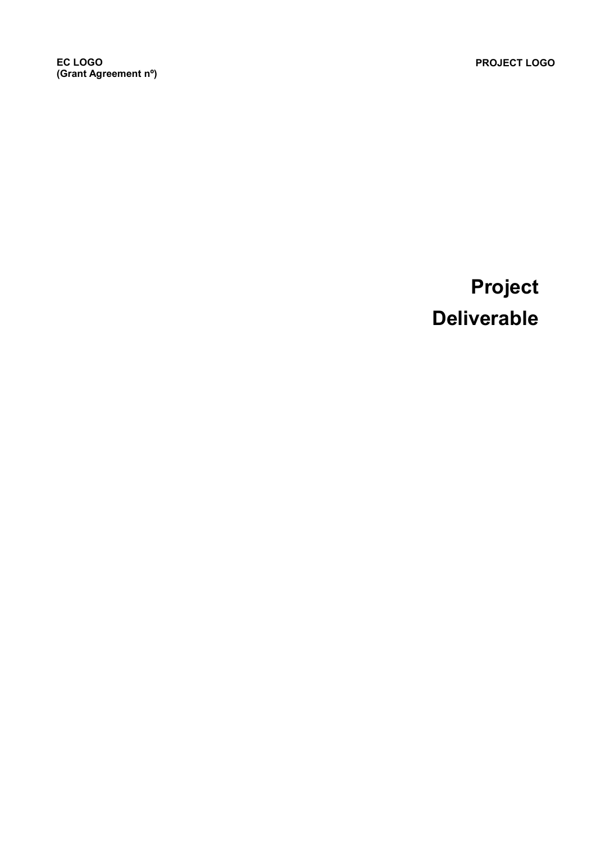EC LOGO (Grant Agreement nº)

# Project Deliverable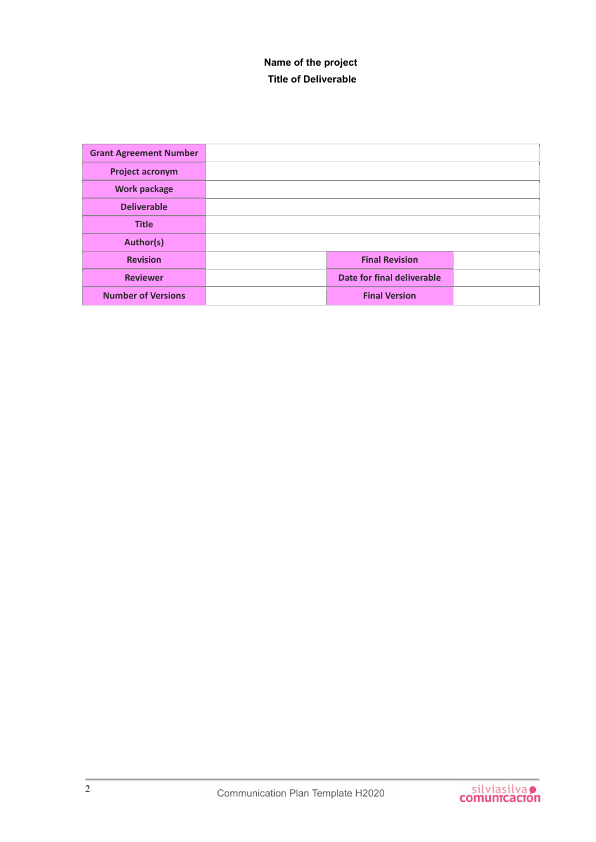#### Name of the project Title of Deliverable

| <b>Grant Agreement Number</b> |                            |  |
|-------------------------------|----------------------------|--|
| <b>Project acronym</b>        |                            |  |
| <b>Work package</b>           |                            |  |
| <b>Deliverable</b>            |                            |  |
| <b>Title</b>                  |                            |  |
| Author(s)                     |                            |  |
| <b>Revision</b>               | <b>Final Revision</b>      |  |
| <b>Reviewer</b>               | Date for final deliverable |  |
| <b>Number of Versions</b>     | <b>Final Version</b>       |  |

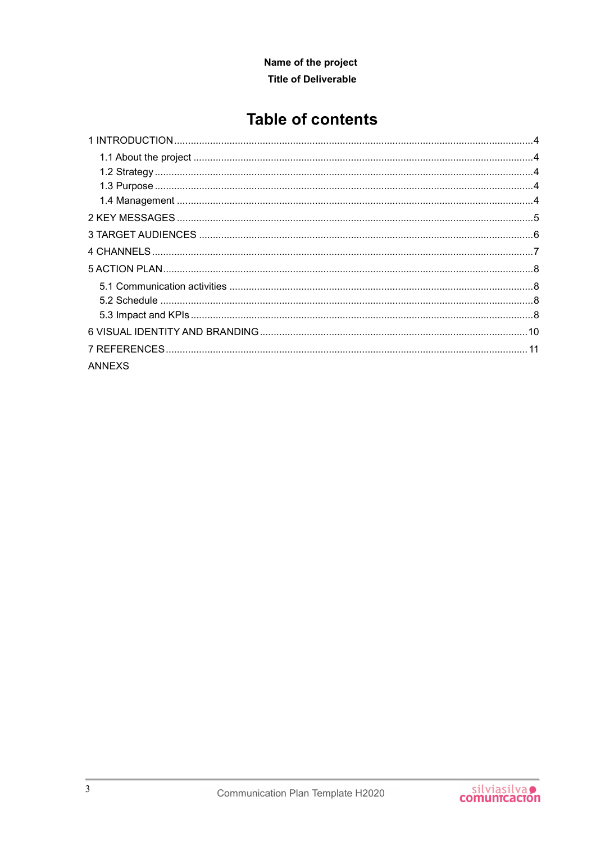#### Name of the project **Title of Deliverable**

## **Table of contents**

| <b>ANNEXS</b> |  |
|---------------|--|

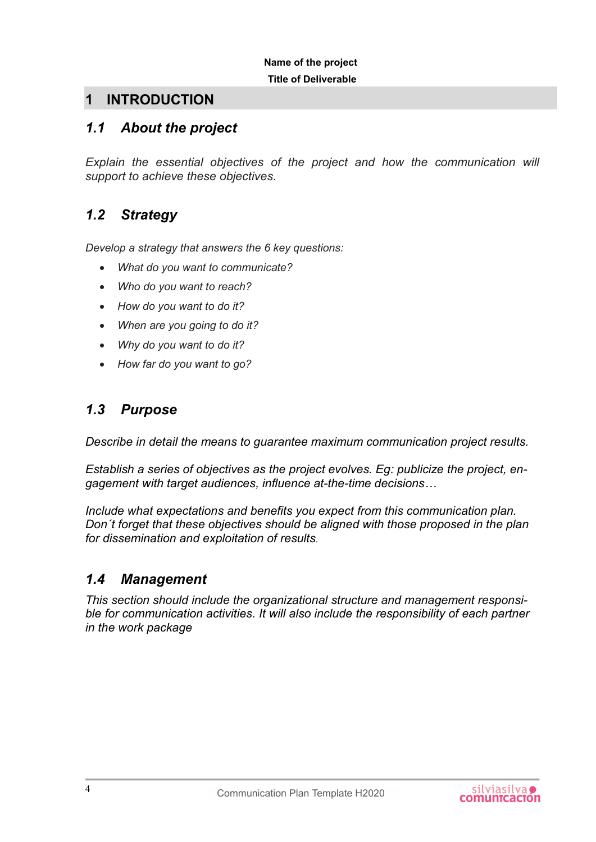## 1 INTRODUCTION

### 1.1 About the project

Explain the essential objectives of the project and how the communication will support to achieve these objectives.

### 1.2 Strategy

Develop a strategy that answers the 6 key questions:

- What do you want to communicate?
- Who do you want to reach?
- How do you want to do it?
- When are you going to do it?
- Why do you want to do it?
- How far do you want to go?

#### 1.3 Purpose

Describe in detail the means to guarantee maximum communication project results.

Establish a series of objectives as the project evolves. Eg: publicize the project, engagement with target audiences, influence at-the-time decisions…

Include what expectations and benefits you expect from this communication plan. Don´t forget that these objectives should be aligned with those proposed in the plan for dissemination and exploitation of results.

#### 1.4 Management

This section should include the organizational structure and management responsible for communication activities. It will also include the responsibility of each partner in the work package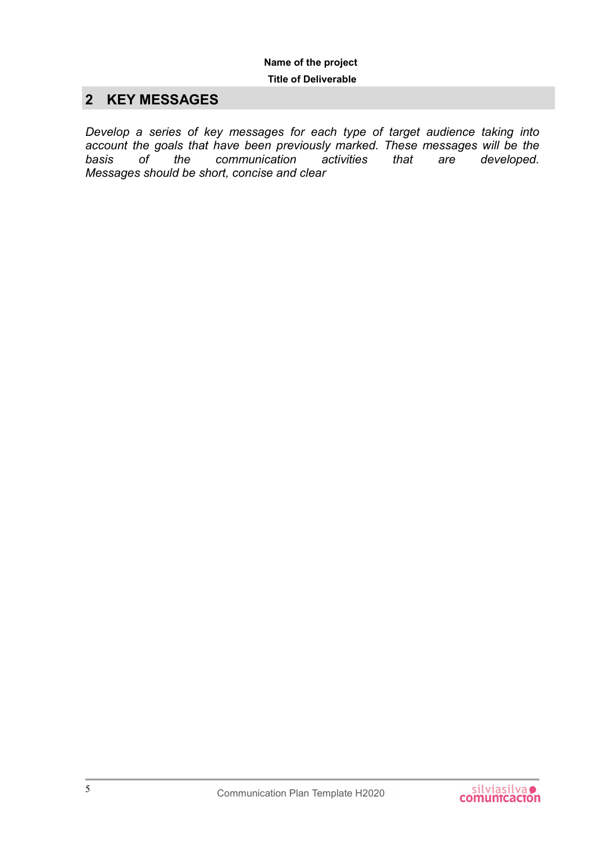## 2 KEY MESSAGES

Develop a series of key messages for each type of target audience taking into account the goals that have been previously marked. These messages will be the basis of the communication activities that are developed. Messages should be short, concise and clear

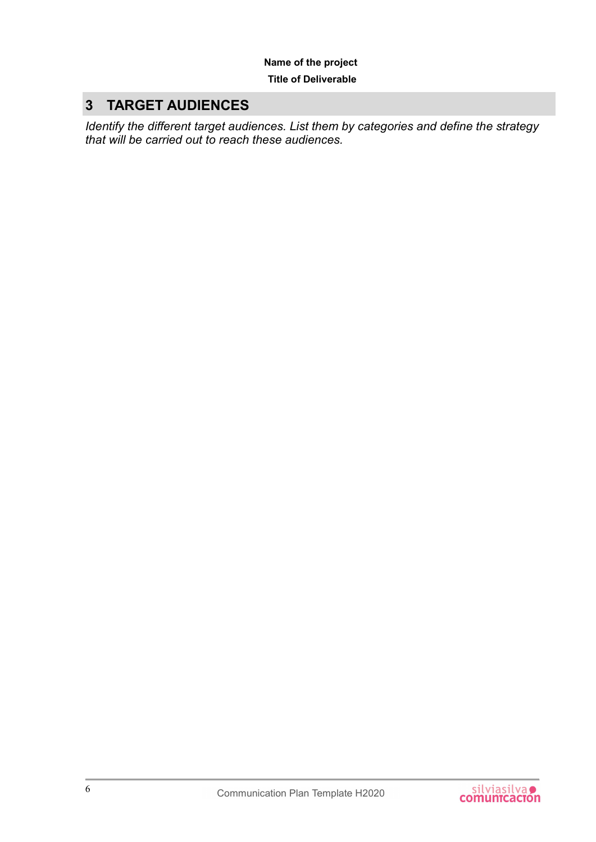## 3 TARGET AUDIENCES

Identify the different target audiences. List them by categories and define the strategy that will be carried out to reach these audiences.

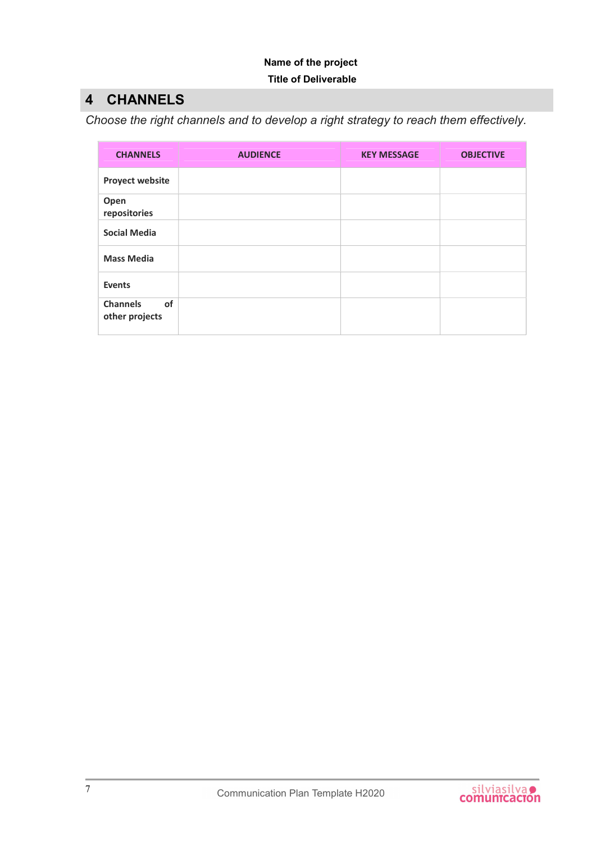## 4 CHANNELS

Choose the right channels and to develop a right strategy to reach them effectively.

| <b>CHANNELS</b>                         | <b>AUDIENCE</b> | <b>KEY MESSAGE</b> | <b>OBJECTIVE</b> |
|-----------------------------------------|-----------------|--------------------|------------------|
| <b>Proyect website</b>                  |                 |                    |                  |
| Open<br>repositories                    |                 |                    |                  |
| <b>Social Media</b>                     |                 |                    |                  |
| <b>Mass Media</b>                       |                 |                    |                  |
| <b>Events</b>                           |                 |                    |                  |
| of<br><b>Channels</b><br>other projects |                 |                    |                  |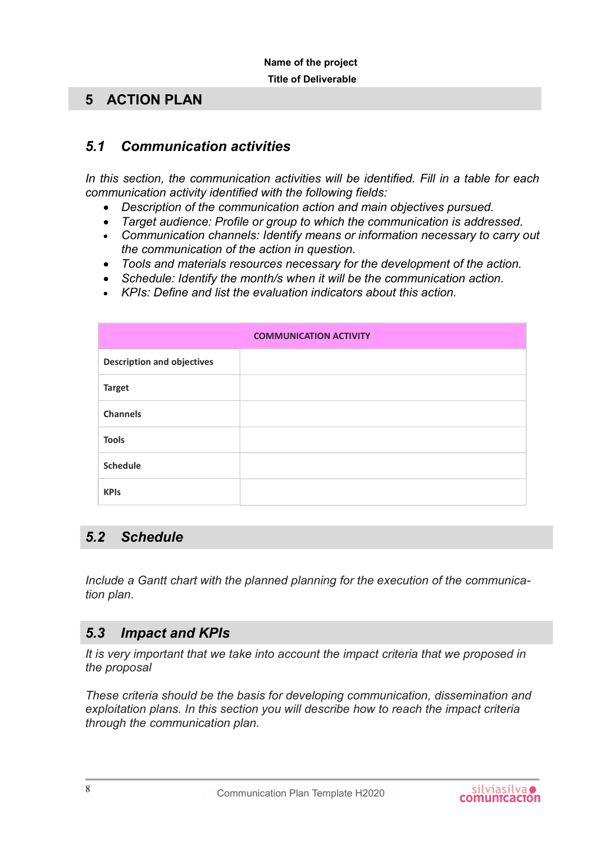#### 5 ACTION PLAN

#### 5.1 Communication activities

In this section, the communication activities will be identified. Fill in a table for each communication activity identified with the following fields:

- Description of the communication action and main objectives pursued.
- Target audience: Profile or group to which the communication is addressed.
- Communication channels: Identify means or information necessary to carry out the communication of the action in question.
- Tools and materials resources necessary for the development of the action.
- Schedule: Identify the month/s when it will be the communication action.
- KPIs: Define and list the evaluation indicators about this action.

|                                   | <b>COMMUNICATION ACTIVITY</b> |
|-----------------------------------|-------------------------------|
| <b>Description and objectives</b> |                               |
| <b>Target</b>                     |                               |
| <b>Channels</b>                   |                               |
| <b>Tools</b>                      |                               |
| <b>Schedule</b>                   |                               |
| <b>KPIs</b>                       |                               |

#### 5.2 Schedule

Include a Gantt chart with the planned planning for the execution of the communication plan.

#### 5.3 Impact and KPIs

It is very important that we take into account the impact criteria that we proposed in the proposal

These criteria should be the basis for developing communication, dissemination and exploitation plans. In this section you will describe how to reach the impact criteria through the communication plan.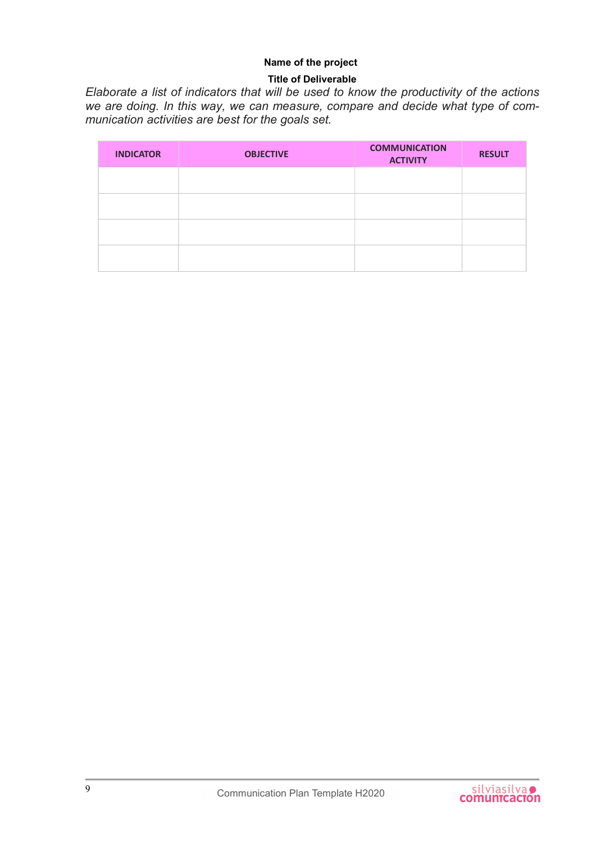#### Name of the project

#### Title of Deliverable

Elaborate a list of indicators that will be used to know the productivity of the actions we are doing. In this way, we can measure, compare and decide what type of communication activities are best for the goals set.

| <b>INDICATOR</b> | <b>OBJECTIVE</b> | <b>COMMUNICATION</b><br><b>ACTIVITY</b> | <b>RESULT</b> |
|------------------|------------------|-----------------------------------------|---------------|
|                  |                  |                                         |               |
|                  |                  |                                         |               |
|                  |                  |                                         |               |
|                  |                  |                                         |               |

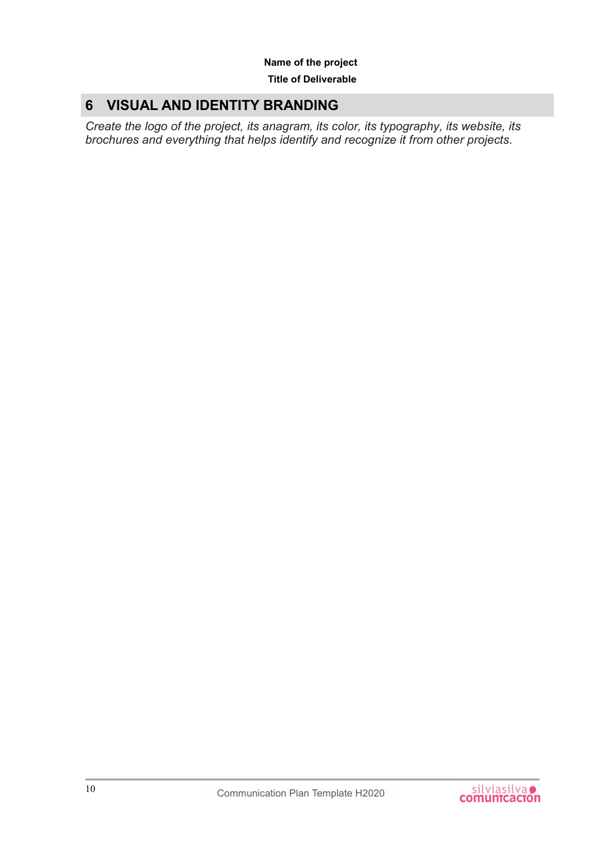## 6 VISUAL AND IDENTITY BRANDING

Create the logo of the project, its anagram, its color, its typography, its website, its brochures and everything that helps identify and recognize it from other projects.